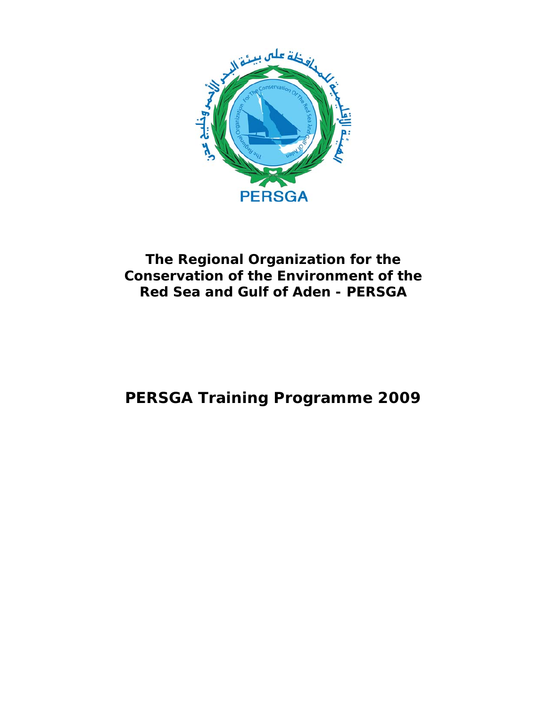

# **The Regional Organization for the Conservation of the Environment of the Red Sea and Gulf of Aden - PERSGA**

# **PERSGA Training Programme 2009**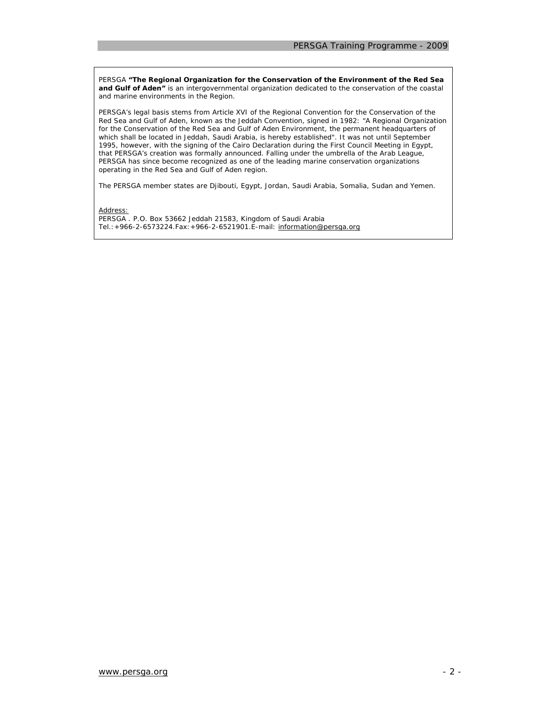PERSGA *"The Regional Organization for the Conservation of the Environment of the Red Sea*  and Gulf of Aden" is an intergovernmental organization dedicated to the conservation of the coastal and marine environments in the Region.

PERSGA's legal basis stems from Article XVI of the Regional Convention for the Conservation of the Red Sea and Gulf of Aden, known as the Jeddah Convention, signed in 1982: "A Regional Organization for the Conservation of the Red Sea and Gulf of Aden Environment, the permanent headquarters of which shall be located in Jeddah, Saudi Arabia, is hereby established". It was not until September 1995, however, with the signing of the Cairo Declaration during the First Council Meeting in Egypt, that PERSGA's creation was formally announced. Falling under the umbrella of the Arab League, PERSGA has since become recognized as one of the leading marine conservation organizations operating in the Red Sea and Gulf of Aden region.

The PERSGA member states are Djibouti, Egypt, Jordan, Saudi Arabia, Somalia, Sudan and Yemen.

Address:

PERSGA . P.O. Box 53662 Jeddah 21583, Kingdom of Saudi Arabia Tel.:+966-2-6573224.Fax:+966-2-6521901.E-mail: information@persga.org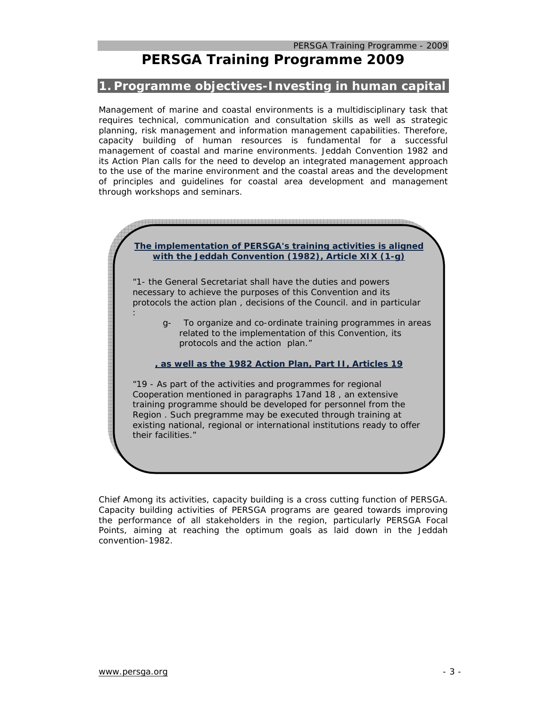# **PERSGA Training Programme 2009**

### **1. Programme objectives-Investing in human capital**

Management of marine and coastal environments is a multidisciplinary task that requires technical, communication and consultation skills as well as strategic planning, risk management and information management capabilities. Therefore, capacity building of human resources is fundamental for a successful management of coastal and marine environments. Jeddah Convention 1982 and its Action Plan calls for the need to develop an integrated management approach to the use of the marine environment and the coastal areas and the development of principles and guidelines for coastal area development and management through workshops and seminars.

. 1999 – 1999 – 1999 – 1999 – 1999 – 1999 – 1999 – 1999 – 1999 – 1999 – 1999 – 1999 – 1999 – 1999 – 1999 – 1999 – 1999 – 1999 **The implementation of PERSGA's training activities is aligned with the Jeddah Convention (1982), Article XIX (1-g)** *"1- the General Secretariat shall have the duties and powers necessary to achieve the purposes of this Convention and its protocols the action plan , decisions of the Council. and in particular : g- To organize and co-ordinate training programmes in areas related to the implementation of this Convention, its protocols and the action plan."*  **, as well as the 1982 Action Plan, Part II, Articles 19**  *"19 - As part of the activities and programmes for regional Cooperation mentioned in paragraphs 17and 18 , an extensive training programme should be developed for personnel from the Region . Such pregramme may be executed through training at existing national, regional or international institutions ready to offer their facilities."* 

Chief Among its activities, capacity building is a cross cutting function of PERSGA. Capacity building activities of PERSGA programs are geared towards improving the performance of all stakeholders in the region, particularly PERSGA Focal Points, aiming at reaching the optimum goals as laid down in the Jeddah convention-1982.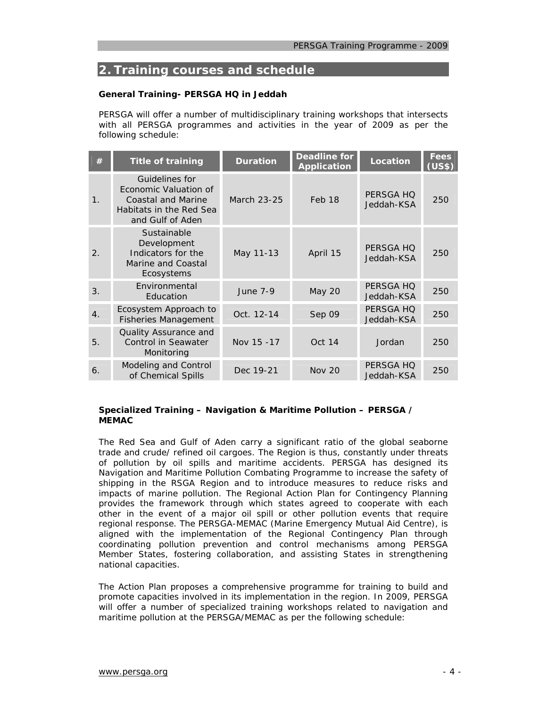# **2. Training courses and schedule**

#### **General Training- PERSGA HQ in Jeddah**

PERSGA will offer a number of multidisciplinary training workshops that intersects with all PERSGA programmes and activities in the year of 2009 as per the following schedule:

| #                | <b>Title of training</b>                                                                                     | <b>Duration</b> | <b>Deadline for</b><br><b>Application</b> | <b>Location</b>         | <b>Fees</b><br>(US\$) |
|------------------|--------------------------------------------------------------------------------------------------------------|-----------------|-------------------------------------------|-------------------------|-----------------------|
| 1.               | Guidelines for<br>Economic Valuation of<br>Coastal and Marine<br>Habitats in the Red Sea<br>and Gulf of Aden | March 23-25     | Feb 18                                    | PERSGA HO<br>Jeddah-KSA | 250                   |
| 2.               | Sustainable<br>Development<br>Indicators for the<br>Marine and Coastal<br>Ecosystems                         | May 11-13       | April 15                                  | PERSGA HO<br>Jeddah-KSA | 250                   |
| 3.               | Environmental<br>Education                                                                                   | <b>June 7-9</b> | <b>May 20</b>                             | PERSGA HO<br>Jeddah-KSA | 250                   |
| $\overline{4}$ . | Ecosystem Approach to<br><b>Fisheries Management</b>                                                         | Oct. 12-14      | Sep 09                                    | PERSGA HQ<br>Jeddah-KSA | 250                   |
| 5.               | Quality Assurance and<br><b>Control in Seawater</b><br>Monitoring                                            | Nov 15 -17      | Oct 14                                    | Jordan                  | 250                   |
| 6.               | Modeling and Control<br>of Chemical Spills                                                                   | Dec 19-21       | <b>Nov 20</b>                             | PERSGA HQ<br>Jeddah-KSA | 250                   |

#### **Specialized Training – Navigation & Maritime Pollution – PERSGA / MEMAC**

The Red Sea and Gulf of Aden carry a significant ratio of the global seaborne trade and crude/ refined oil cargoes. The Region is thus, constantly under threats of pollution by oil spills and maritime accidents. PERSGA has designed its Navigation and Maritime Pollution Combating Programme to increase the safety of shipping in the RSGA Region and to introduce measures to reduce risks and impacts of marine pollution. The Regional Action Plan for Contingency Planning provides the framework through which states agreed to cooperate with each other in the event of a major oil spill or other pollution events that require regional response. The PERSGA-MEMAC (Marine Emergency Mutual Aid Centre), is aligned with the implementation of the Regional Contingency Plan through coordinating pollution prevention and control mechanisms among PERSGA Member States, fostering collaboration, and assisting States in strengthening national capacities.

The Action Plan proposes a comprehensive programme for training to build and promote capacities involved in its implementation in the region. In 2009, PERSGA will offer a number of specialized training workshops related to navigation and maritime pollution at the PERSGA/MEMAC as per the following schedule: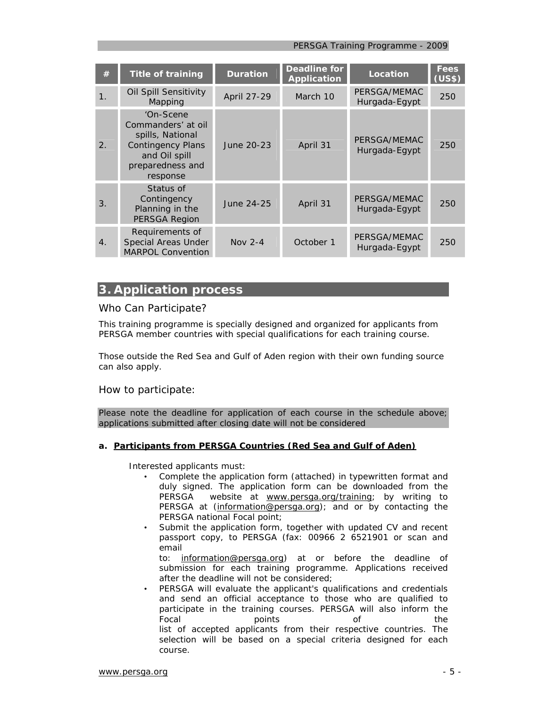*PERSGA Training Programme - 2009* 

| #  | <b>Title of training</b>                                                                                                         | <b>Duration</b> | <b>Deadline for</b><br><b>Application</b> | Location                      | Fees<br>(US\$) |
|----|----------------------------------------------------------------------------------------------------------------------------------|-----------------|-------------------------------------------|-------------------------------|----------------|
| 1. | Oil Spill Sensitivity<br>Mapping                                                                                                 | April 27-29     | March 10                                  | PERSGA/MEMAC<br>Hurgada-Egypt | 250            |
| 2. | 'On-Scene<br>Commanders' at oil<br>spills, National<br><b>Contingency Plans</b><br>and Oil spill<br>preparedness and<br>response | June 20-23      | April 31                                  | PERSGA/MEMAC<br>Hurgada-Egypt | 250            |
| 3. | Status of<br>Contingency<br>Planning in the<br>PERSGA Region                                                                     | June 24-25      | April 31                                  | PERSGA/MEMAC<br>Hurgada-Egypt | 250            |
| 4. | Requirements of<br>Special Areas Under<br><b>MARPOL Convention</b>                                                               | Nov $2-4$       | October 1                                 | PERSGA/MEMAC<br>Hurgada-Egypt | 250            |

# **3. Application process**

# *Who Can Participate?*

This training programme is specially designed and organized for applicants from PERSGA member countries with special qualifications for each training course.

Those outside the Red Sea and Gulf of Aden region with their own funding source can also apply.

### *How to participate:*

Please note the deadline for application of each course in the schedule above; applications submitted after closing date will not be considered

### **a. Participants from PERSGA Countries (Red Sea and Gulf of Aden)**

Interested applicants must:

- Complete the application form (attached) in typewritten format and duly signed. The application form can be downloaded from the PERSGA website at www.persga.org/training; by writing to PERSGA at (information@persga.org); and or by contacting the PERSGA national Focal point;
- Submit the application form, together with updated CV and recent passport copy, to PERSGA (fax: 00966 2 6521901 or scan and email

to: information@persga.org) at or before the deadline of submission for each training programme. Applications received after the deadline will not be considered;

• PERSGA will evaluate the applicant's qualifications and credentials and send an official acceptance to those who are qualified to participate in the training courses. PERSGA will also inform the Focal **points** points of the list of accepted applicants from their respective countries. The selection will be based on a special criteria designed for each course.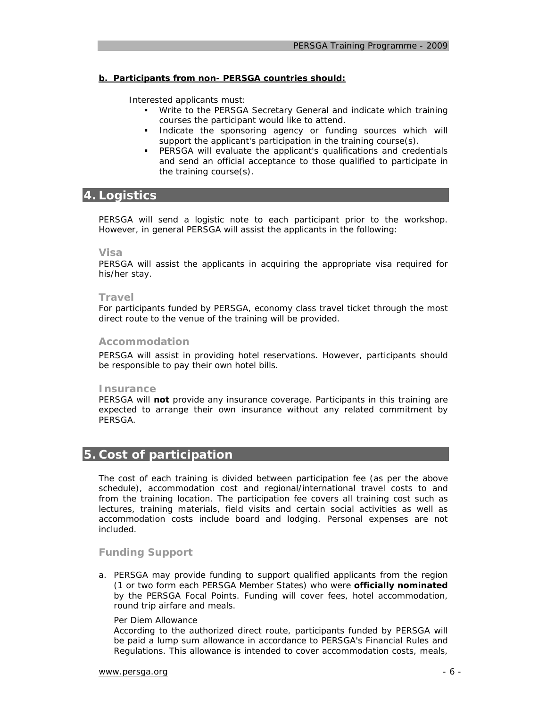#### **b. Participants from non- PERSGA countries should:**

Interested applicants must:

- Write to the PERSGA Secretary General and indicate which training courses the participant would like to attend.
- **Indicate the sponsoring agency or funding sources which will** support the applicant's participation in the training course(s).
- PERSGA will evaluate the applicant's qualifications and credentials and send an official acceptance to those qualified to participate in the training course(s).

# **4. Logistics**

PERSGA will send a logistic note to each participant prior to the workshop. However, in general PERSGA will assist the applicants in the following:

#### *Visa*

PERSGA will assist the applicants in acquiring the appropriate visa required for his/her stay.

#### *Travel*

For participants funded by PERSGA, economy class travel ticket through the most direct route to the venue of the training will be provided.

#### *Accommodation*

PERSGA will assist in providing hotel reservations. However, participants should be responsible to pay their own hotel bills.

#### *Insurance*

PERSGA will **not** provide any insurance coverage. Participants in this training are expected to arrange their own insurance without any related commitment by PERSGA.

# **5. Cost of participation**

The cost of each training is divided between participation fee (as per the above schedule), accommodation cost and regional/international travel costs to and from the training location. The participation fee covers all training cost such as lectures, training materials, field visits and certain social activities as well as accommodation costs include board and lodging. Personal expenses are not included.

#### *Funding Support*

a. PERSGA may provide funding to support qualified applicants from the region (1 or two form each PERSGA Member States) who were **officially nominated** by the PERSGA Focal Points. Funding will cover fees, hotel accommodation, round trip airfare and meals.

#### *Per Diem Allowance*

According to the authorized direct route, participants funded by PERSGA will be paid a lump sum allowance in accordance to PERSGA's Financial Rules and Regulations. This allowance is intended to cover accommodation costs, meals,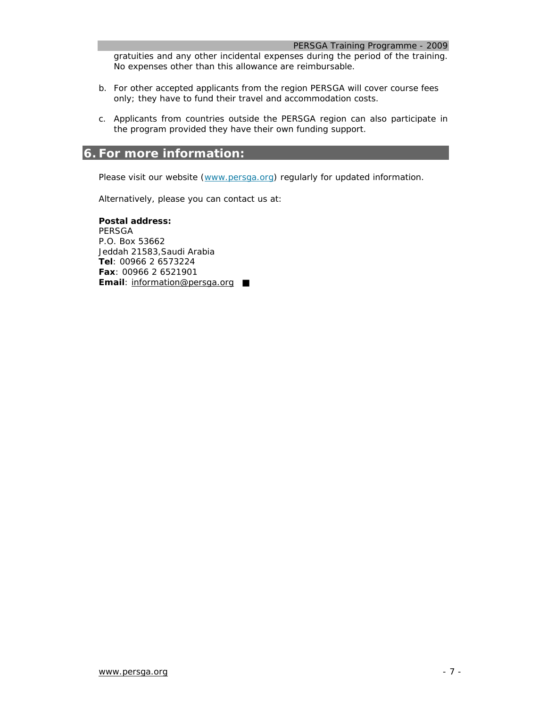*PERSGA Training Programme - 2009* 

gratuities and any other incidental expenses during the period of the training. No expenses other than this allowance are reimbursable.

- b. For other accepted applicants from the region PERSGA will cover course fees only; they have to fund their travel and accommodation costs.
- c. Applicants from countries outside the PERSGA region can also participate in the program provided they have their own funding support.

# **6. For more information:**

Please visit our website (www.persga.org) regularly for updated information.

Alternatively, please you can contact us at:

**Postal address:** PERSGA P.O. Box 53662 Jeddah 21583,Saudi Arabia **Tel**: 00966 2 6573224 **Fax**: 00966 2 6521901 **Email:** information@persga.org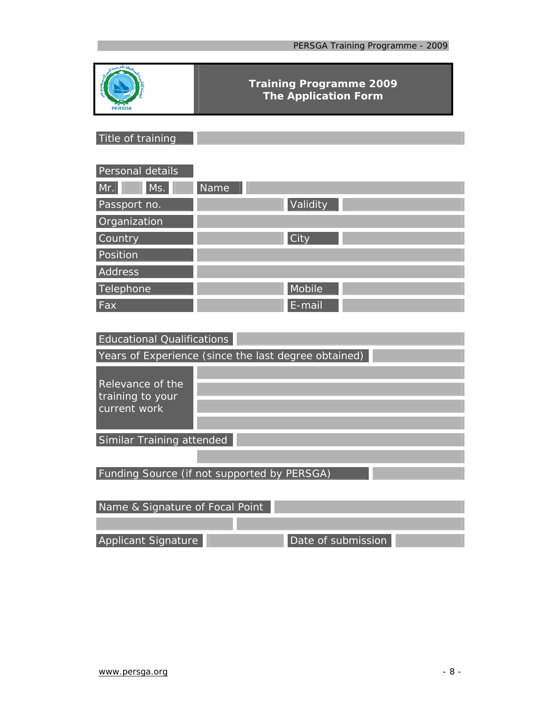| PERSGA                               | <b>Training Programme 2009</b><br><b>The Application Form</b> |  |
|--------------------------------------|---------------------------------------------------------------|--|
| Title of training                    |                                                               |  |
|                                      |                                                               |  |
| Personal details                     |                                                               |  |
| Ms.<br>Mr.                           | Name                                                          |  |
| Passport no.                         | Validity                                                      |  |
| Organization                         |                                                               |  |
| Country                              | City                                                          |  |
| Position                             |                                                               |  |
| Address                              |                                                               |  |
| Telephone                            | Mobile                                                        |  |
| Fax                                  | E-mail                                                        |  |
|                                      |                                                               |  |
| Educational Qualifications           |                                                               |  |
|                                      | Years of Experience (since the last degree obtained)          |  |
|                                      |                                                               |  |
| Relevance of the<br>training to your |                                                               |  |
| current work                         |                                                               |  |
|                                      |                                                               |  |
| Similar Training attended            |                                                               |  |
|                                      |                                                               |  |
|                                      | Funding Source (if not supported by PERSGA)                   |  |
|                                      |                                                               |  |
| Name & Signature of Focal Point      |                                                               |  |
|                                      |                                                               |  |
| Applicant Signature                  | Date of submission                                            |  |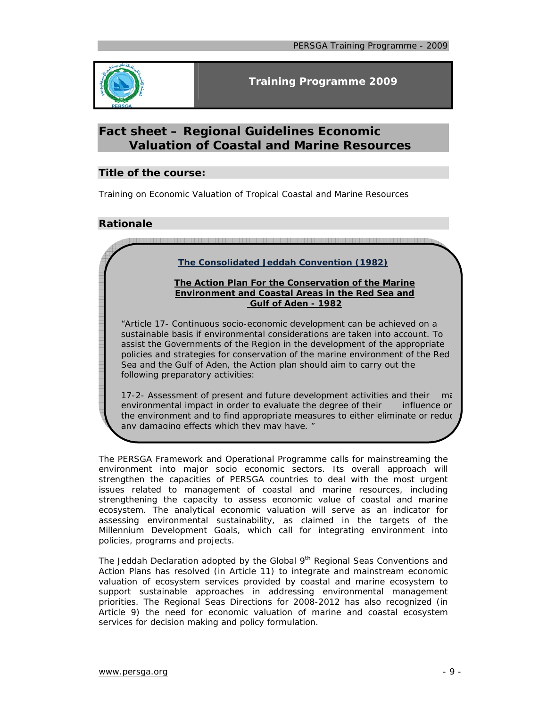

# **Fact sheet – Regional Guidelines Economic Valuation of Coastal and Marine Resources**

### **Title of the course:**

Training on Economic Valuation of Tropical Coastal and Marine Resources

# **Rationale**

- 서비스 그 서비스 등 서비스 등 시간에 대한 이 사이트 등 시간에 대한 이 사이트 등 시간에 대한 이 사이트 등 시간에 대한 사이트 등 시간에 대한 사이트 등 시간에 대한 사이트 등 시간에 대한 사<br>- 이 사이트 등 시간에 대한 사이트 등 시간에 대한 이 사이트 등 시간에 대한 이 사이트 등 시간에 대한 이 사이트 등 시간에 대한 이 사이트 등 시간에 대한 이 사이트 등 시간에 대한 시간에

# **The Consolidated Jeddah Convention (1982)**

#### **The Action Plan For the Conservation of the Marine Environment and Coastal Areas in the Red Sea and Gulf of Aden - 1982**

*"Article 17- Continuous socio-economic development can be achieved on a sustainable basis if environmental considerations are taken into account. To assist the Governments of the Region in the development of the appropriate policies and strategies for conservation of the marine environment of the Red Sea and the Gulf of Aden, the Action plan should aim to carry out the following preparatory activities:* 

*17-2- Assessment of present and future development activities and their ma environmental impact in order to evaluate the degree of their influence on the environment and to find appropriate measures to either eliminate or reduc any damaging effects which they may have. "*

The PERSGA Framework and Operational Programme calls for mainstreaming the environment into major socio economic sectors. Its overall approach will strengthen the capacities of PERSGA countries to deal with the most urgent issues related to management of coastal and marine resources, including strengthening the capacity to assess economic value of coastal and marine ecosystem. The analytical economic valuation will serve as an indicator for assessing environmental sustainability, as claimed in the targets of the Millennium Development Goals, which call for integrating environment into policies, programs and projects.

The Jeddah Declaration adopted by the Global 9<sup>th</sup> Regional Seas Conventions and Action Plans has resolved (in Article 11) to integrate and mainstream economic valuation of ecosystem services provided by coastal and marine ecosystem to support sustainable approaches in addressing environmental management priorities. The Regional Seas Directions for 2008-2012 has also recognized (in Article 9) the need for economic valuation of marine and coastal ecosystem services for decision making and policy formulation.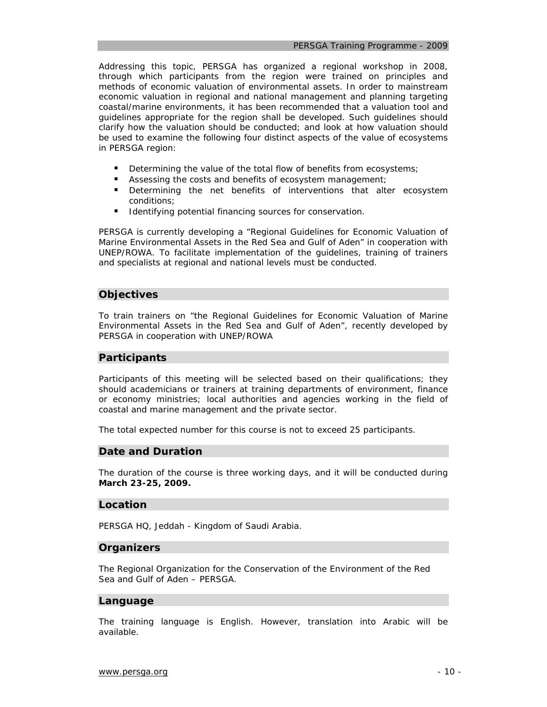Addressing this topic, PERSGA has organized a regional workshop in 2008, through which participants from the region were trained on principles and methods of economic valuation of environmental assets. In order to mainstream economic valuation in regional and national management and planning targeting coastal/marine environments, it has been recommended that a valuation tool and guidelines appropriate for the region shall be developed. Such guidelines should clarify how the valuation should be conducted; and look at how valuation should be used to examine the following four distinct aspects of the value of ecosystems in PERSGA region:

- Determining the value of the total flow of benefits from ecosystems;
- Assessing the costs and benefits of ecosystem management;
- Determining the net benefits of interventions that alter ecosystem conditions;
- **IDENTIFY IDENTIFY** Identifying potential financing sources for conservation.

PERSGA is currently developing a "Regional Guidelines for Economic Valuation of Marine Environmental Assets in the Red Sea and Gulf of Aden" in cooperation with UNEP/ROWA. To facilitate implementation of the guidelines, training of trainers and specialists at regional and national levels must be conducted.

#### **Objectives**

To train trainers on "the Regional Guidelines for Economic Valuation of Marine Environmental Assets in the Red Sea and Gulf of Aden", recently developed by PERSGA in cooperation with UNEP/ROWA

#### **Participants**

Participants of this meeting will be selected based on their qualifications; they should academicians or trainers at training departments of environment, finance or economy ministries; local authorities and agencies working in the field of coastal and marine management and the private sector.

The total expected number for this course is not to exceed 25 participants.

#### **Date and Duration**

The duration of the course is three working days, and it will be conducted during **March 23-25, 2009.** 

#### **Location**

PERSGA HQ, Jeddah - Kingdom of Saudi Arabia.

#### **Organizers**

The Regional Organization for the Conservation of the Environment of the Red Sea and Gulf of Aden – PERSGA.

#### **Language**

The training language is English. However, translation into Arabic will be available.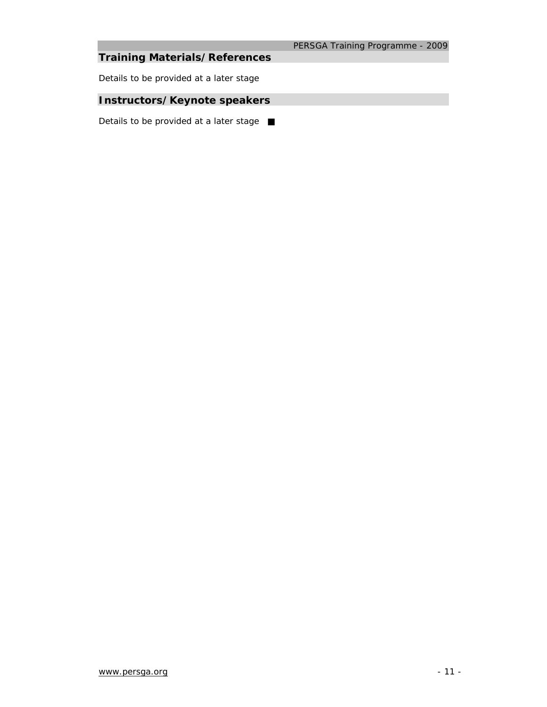# **Training Materials/References**

*Details to be provided at a later stage*

# **Instructors/Keynote speakers**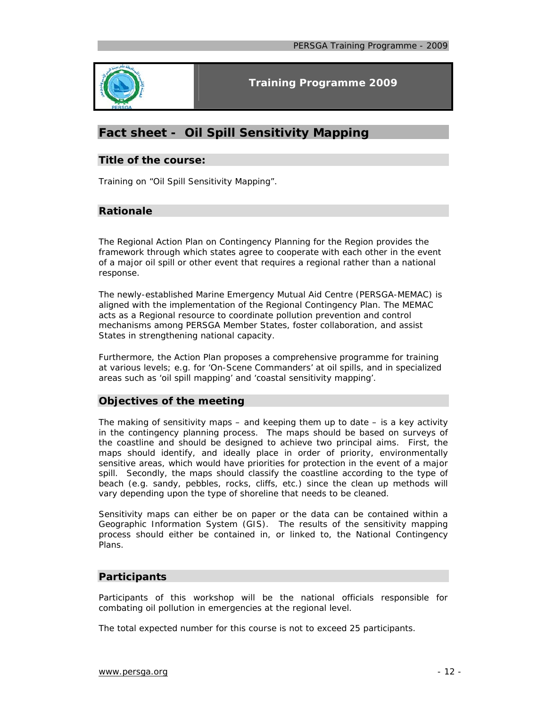

# **Fact sheet - Oil Spill Sensitivity Mapping**

#### **Title of the course:**

Training on "Oil Spill Sensitivity Mapping".

# **Rationale**

The Regional Action Plan on Contingency Planning for the Region provides the framework through which states agree to cooperate with each other in the event of a major oil spill or other event that requires a regional rather than a national response.

The newly-established Marine Emergency Mutual Aid Centre (PERSGA-MEMAC) is aligned with the implementation of the Regional Contingency Plan. The MEMAC acts as a Regional resource to coordinate pollution prevention and control mechanisms among PERSGA Member States, foster collaboration, and assist States in strengthening national capacity.

Furthermore, the Action Plan proposes a comprehensive programme for training at various levels; e.g. for 'On-Scene Commanders' at oil spills, and in specialized areas such as 'oil spill mapping' and 'coastal sensitivity mapping'.

### **Objectives of the meeting**

The making of sensitivity maps  $-$  and keeping them up to date  $-$  is a key activity in the contingency planning process. The maps should be based on surveys of the coastline and should be designed to achieve two principal aims. First, the maps should identify, and ideally place in order of priority, environmentally sensitive areas, which would have priorities for protection in the event of a major spill. Secondly, the maps should classify the coastline according to the type of beach (e.g. sandy, pebbles, rocks, cliffs, etc.) since the clean up methods will vary depending upon the type of shoreline that needs to be cleaned.

Sensitivity maps can either be on paper or the data can be contained within a Geographic Information System (GIS). The results of the sensitivity mapping process should either be contained in, or linked to, the National Contingency Plans.

# **Participants**

Participants of this workshop will be the national officials responsible for combating oil pollution in emergencies at the regional level.

The total expected number for this course is not to exceed 25 participants.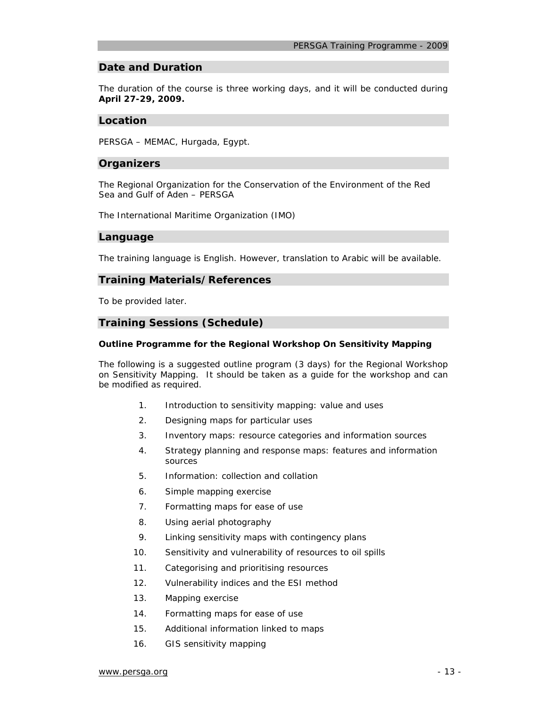#### **Date and Duration**

The duration of the course is three working days, and it will be conducted during **April 27-29, 2009.** 

#### **Location**

PERSGA – MEMAC, Hurgada, Egypt.

#### **Organizers**

The Regional Organization for the Conservation of the Environment of the Red Sea and Gulf of Aden – PERSGA

The International Maritime Organization (IMO)

#### **Language**

The training language is English. However, translation to Arabic will be available.

#### **Training Materials/References**

To be provided later.

#### **Training Sessions (Schedule)**

#### **Outline Programme for the Regional Workshop On Sensitivity Mapping**

The following is a suggested outline program (3 days) for the Regional Workshop on Sensitivity Mapping. It should be taken as a guide for the workshop and can be modified as required.

- 1. Introduction to sensitivity mapping: value and uses
- 2. Designing maps for particular uses
- 3. Inventory maps: resource categories and information sources
- 4. Strategy planning and response maps: features and information sources
- 5. Information: collection and collation
- 6. Simple mapping exercise
- 7. Formatting maps for ease of use
- 8. Using aerial photography
- 9. Linking sensitivity maps with contingency plans
- 10. Sensitivity and vulnerability of resources to oil spills
- 11. Categorising and prioritising resources
- 12. Vulnerability indices and the ESI method
- 13. Mapping exercise
- 14. Formatting maps for ease of use
- 15. Additional information linked to maps
- 16. GIS sensitivity mapping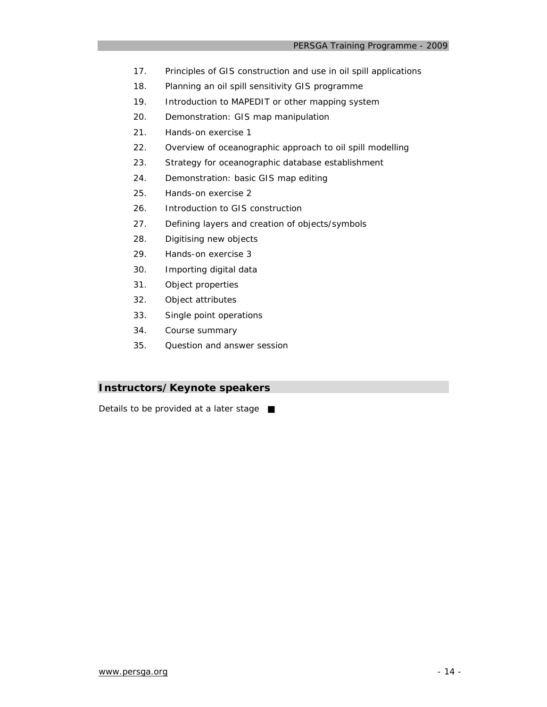- 17. Principles of GIS construction and use in oil spill applications
- 18. Planning an oil spill sensitivity GIS programme
- 19. Introduction to MAPEDIT or other mapping system
- 20. Demonstration: GIS map manipulation
- 21. Hands-on exercise 1
- 22. Overview of oceanographic approach to oil spill modelling
- 23. Strategy for oceanographic database establishment
- 24. Demonstration: basic GIS map editing
- 25. Hands-on exercise 2
- 26. Introduction to GIS construction
- 27. Defining layers and creation of objects/symbols
- 28. Digitising new objects
- 29. Hands-on exercise 3
- 30. Importing digital data
- 31. Object properties
- 32. Object attributes
- 33. Single point operations
- 34. Course summary
- 35. Question and answer session

# **Instructors/Keynote speakers**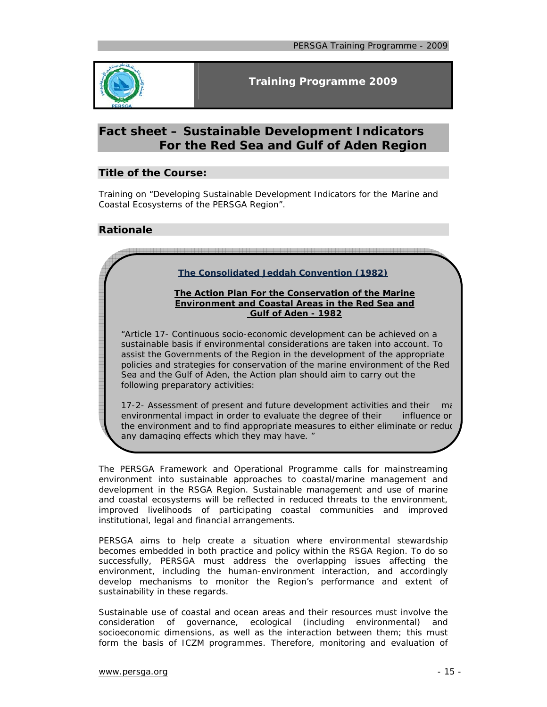

# **Fact sheet – Sustainable Development Indicators For the Red Sea and Gulf of Aden Region**

## **Title of the Course:**

Training on *"Developing* Sustainable Development Indicators *for the Marine and Coastal Ecosystems of the PERSGA Region".*

### **Rationale**

### **The Consolidated Jeddah Convention (1982)**

#### **The Action Plan For the Conservation of the Marine Environment and Coastal Areas in the Red Sea and Gulf of Aden - 1982**

*"Article 17- Continuous socio-economic development can be achieved on a sustainable basis if environmental considerations are taken into account. To assist the Governments of the Region in the development of the appropriate policies and strategies for conservation of the marine environment of the Red Sea and the Gulf of Aden, the Action plan should aim to carry out the following preparatory activities:* 

*17-2- Assessment of present and future development activities and their ma environmental impact in order to evaluate the degree of their influence on the environment and to find appropriate measures to either eliminate or reduc any damaging effects which they may have. "*

The PERSGA Framework and Operational Programme calls for mainstreaming environment into sustainable approaches to coastal/marine management and development in the RSGA Region. Sustainable management and use of marine and coastal ecosystems will be reflected in reduced threats to the environment, improved livelihoods of participating coastal communities and improved institutional, legal and financial arrangements.

PERSGA aims to help create a situation where environmental stewardship becomes embedded in both practice and policy within the RSGA Region. To do so successfully, PERSGA must address the overlapping issues affecting the environment, including the human-environment interaction, and accordingly develop mechanisms to monitor the Region's performance and extent of sustainability in these regards.

Sustainable use of coastal and ocean areas and their resources must involve the consideration of governance, ecological (including environmental) and socioeconomic dimensions, as well as the interaction between them; this must form the basis of ICZM programmes. Therefore, monitoring and evaluation of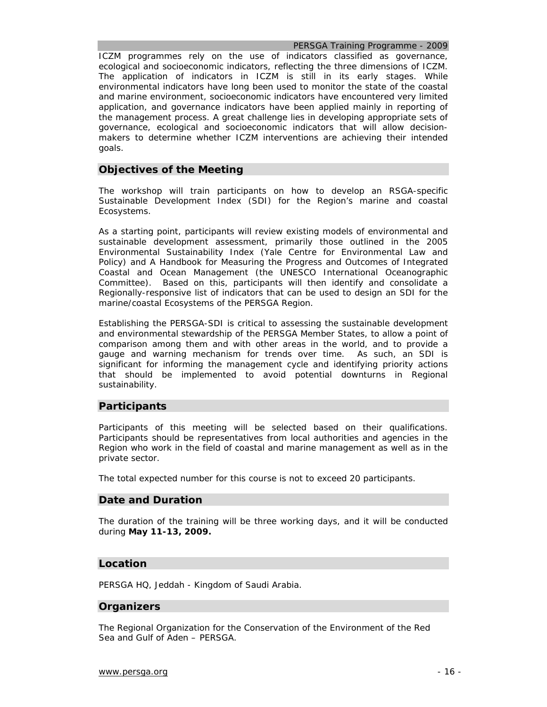*PERSGA Training Programme - 2009* 

ICZM programmes rely on the use of indicators classified as governance, ecological and socioeconomic indicators, reflecting the three dimensions of ICZM. The application of indicators in ICZM is still in its early stages. While environmental indicators have long been used to monitor the state of the coastal and marine environment, socioeconomic indicators have encountered very limited application, and governance indicators have been applied mainly in reporting of the management process. A great challenge lies in developing appropriate sets of governance, ecological and socioeconomic indicators that will allow decisionmakers to determine whether ICZM interventions are achieving their intended goals.

#### **Objectives of the Meeting**

The workshop will train participants on how to develop an RSGA-specific Sustainable Development Index (SDI) for the Region's marine and coastal Ecosystems.

As a starting point, participants will review existing models of environmental and sustainable development assessment, primarily those outlined in the *2005 Environmental Sustainability Index* (Yale Centre for Environmental Law and Policy) and *A Handbook for Measuring the Progress and Outcomes of Integrated Coastal and Ocean Management* (the UNESCO International Oceanographic Committee). Based on this, participants will then identify and consolidate a Regionally-responsive list of indicators that can be used to design an SDI for the marine/coastal Ecosystems of the PERSGA Region.

Establishing the PERSGA-SDI is critical to assessing the sustainable development and environmental stewardship of the PERSGA Member States, to allow a point of comparison among them and with other areas in the world, and to provide a gauge and warning mechanism for trends over time. As such, an SDI is significant for informing the management cycle and identifying priority actions that should be implemented to avoid potential downturns in Regional sustainability.

#### **Participants**

Participants of this meeting will be selected based on their qualifications. Participants should be representatives from local authorities and agencies in the Region who work in the field of coastal and marine management as well as in the private sector.

The total expected number for this course is not to exceed 20 participants.

#### **Date and Duration**

The duration of the training will be three working days, and it will be conducted during **May 11-13, 2009.** 

#### **Location**

PERSGA HQ, Jeddah - Kingdom of Saudi Arabia.

### **Organizers**

The Regional Organization for the Conservation of the Environment of the Red Sea and Gulf of Aden – PERSGA.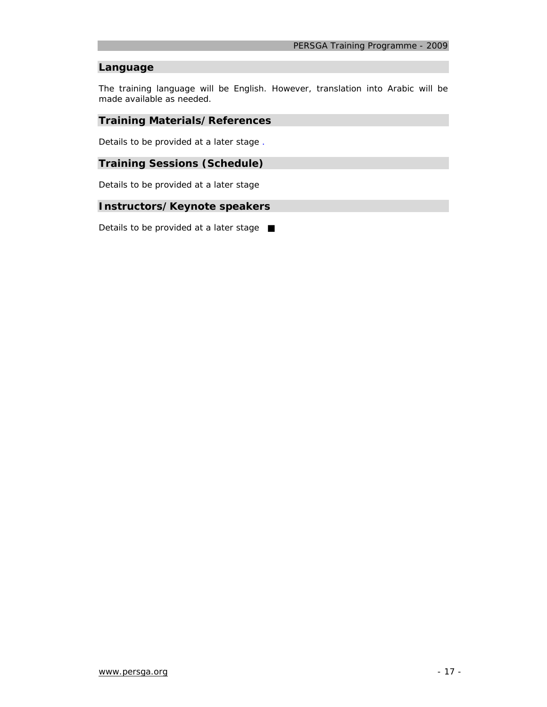# **Language**

The training language will be English. However, translation into Arabic will be made available as needed.

#### **Training Materials/References**

*Details to be provided at a later stage* .

## **Training Sessions (Schedule)**

*Details to be provided at a later stage* 

#### **Instructors/Keynote speakers**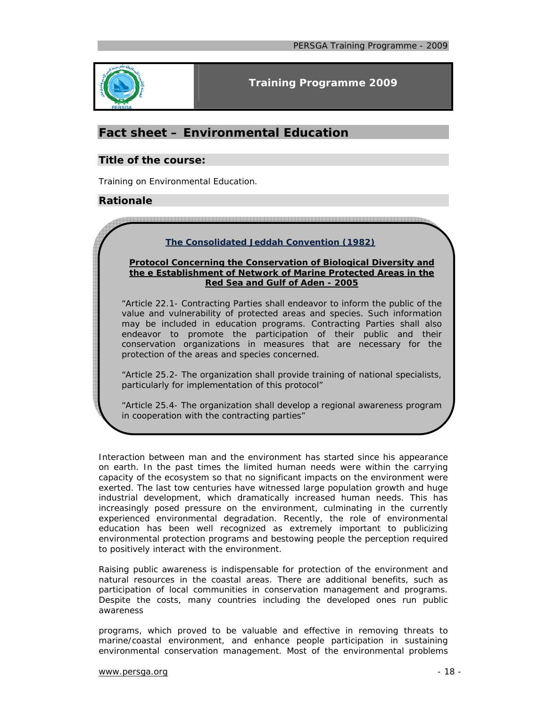

# **Fact sheet – Environmental Education**

### **Title of the course:**

Training on Environmental Education.

### **Rationale**

### **The Consolidated Jeddah Convention (1982)**

#### **Protocol Concerning the Conservation of Biological Diversity and the e Establishment of Network of Marine Protected Areas in the Red Sea and Gulf of Aden - 2005**

*"Article 22.1- Contracting Parties shall endeavor to inform the public of the value and vulnerability of protected areas and species. Such information may be included in education programs. Contracting Parties shall also endeavor to promote the participation of their public and their conservation organizations in measures that are necessary for the protection of the areas and species concerned.* 

*"Article 25.2- The organization shall provide training of national specialists, particularly for implementation of this protocol"* 

*"Article 25.4- The organization shall develop a regional awareness program in cooperation with the contracting parties"*

Interaction between man and the environment has started since his appearance on earth. In the past times the limited human needs were within the carrying capacity of the ecosystem so that no significant impacts on the environment were exerted. The last tow centuries have witnessed large population growth and huge industrial development, which dramatically increased human needs. This has increasingly posed pressure on the environment, culminating in the currently experienced environmental degradation. Recently, the role of environmental education has been well recognized as extremely important to publicizing environmental protection programs and bestowing people the perception required to positively interact with the environment.

Raising public awareness is indispensable for protection of the environment and natural resources in the coastal areas. There are additional benefits, such as participation of local communities in conservation management and programs. Despite the costs, many countries including the developed ones run public awareness

programs, which proved to be valuable and effective in removing threats to marine/coastal environment, and enhance people participation in sustaining environmental conservation management. Most of the environmental problems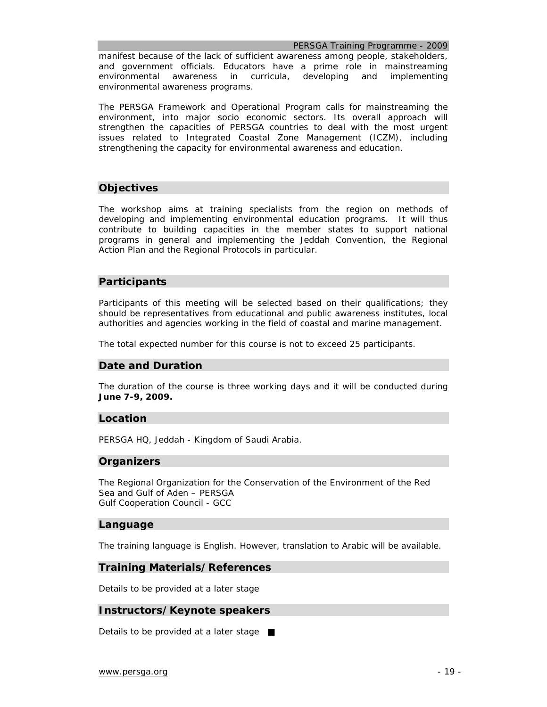*PERSGA Training Programme - 2009* 

manifest because of the lack of sufficient awareness among people, stakeholders, and government officials. Educators have a prime role in mainstreaming environmental awareness in curricula, developing and implementing environmental awareness programs.

The PERSGA Framework and Operational Program calls for mainstreaming the environment, into major socio economic sectors. Its overall approach will strengthen the capacities of PERSGA countries to deal with the most urgent issues related to Integrated Coastal Zone Management (ICZM), including strengthening the capacity for environmental awareness and education.

# **Objectives**

The workshop aims at training specialists from the region on methods of developing and implementing environmental education programs. It will thus contribute to building capacities in the member states to support national programs in general and implementing the Jeddah Convention, the Regional Action Plan and the Regional Protocols in particular.

### **Participants**

Participants of this meeting will be selected based on their qualifications; they should be representatives from educational and public awareness institutes, local authorities and agencies working in the field of coastal and marine management.

The total expected number for this course is not to exceed 25 participants.

### **Date and Duration**

The duration of the course is three working days and it will be conducted during **June 7-9, 2009.** 

#### **Location**

PERSGA HQ, Jeddah - Kingdom of Saudi Arabia.

### **Organizers**

The Regional Organization for the Conservation of the Environment of the Red Sea and Gulf of Aden – PERSGA Gulf Cooperation Council - GCC

#### **Language**

The training language is English. However, translation to Arabic will be available.

#### **Training Materials/References**

*Details to be provided at a later stage*

### **Instructors/Keynote speakers**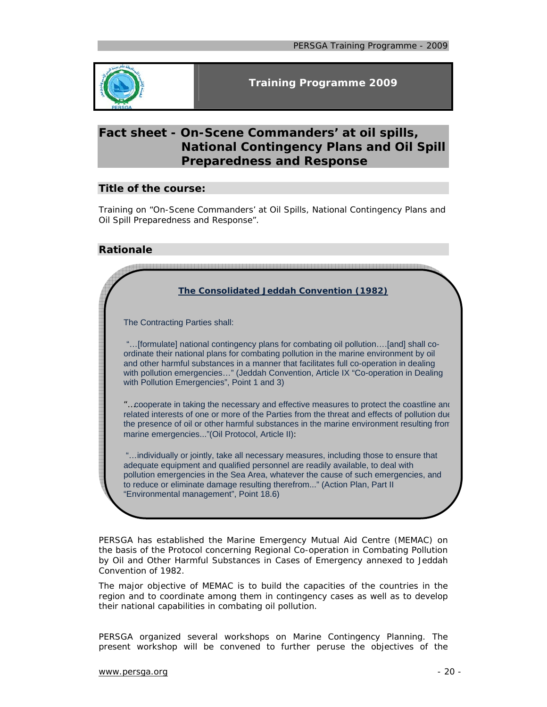

# **Fact sheet - On-Scene Commanders' at oil spills, National Contingency Plans and Oil Spill Preparedness and Response**

### **Title of the course:**

Training on "On-Scene Commanders' at Oil Spills, National Contingency Plans and Oil Spill Preparedness and Response".

## **Rationale**

| The Consolidated Jeddah Convention (1982)                                                                                                                                                                                                                                                                                                                                                                    |
|--------------------------------------------------------------------------------------------------------------------------------------------------------------------------------------------------------------------------------------------------------------------------------------------------------------------------------------------------------------------------------------------------------------|
| The Contracting Parties shall:                                                                                                                                                                                                                                                                                                                                                                               |
| "[formulate] national contingency plans for combating oil pollution[and] shall co-<br>ordinate their national plans for combating pollution in the marine environment by oil<br>and other harmful substances in a manner that facilitates full co-operation in dealing<br>with pollution emergencies" (Jeddah Convention, Article IX "Co-operation in Dealing<br>with Pollution Emergencies", Point 1 and 3) |
| "cooperate in taking the necessary and effective measures to protect the coastline and<br>related interests of one or more of the Parties from the threat and effects of pollution due<br>the presence of oil or other harmful substances in the marine environment resulting from<br>marine emergencies"(Oil Protocol, Article II):                                                                         |
| "individually or jointly, take all necessary measures, including those to ensure that<br>adequate equipment and qualified personnel are readily available, to deal with<br>pollution emergencies in the Sea Area, whatever the cause of such emergencies, and<br>to reduce or eliminate damage resulting therefrom" (Action Plan, Part II<br>"Environmental management", Point 18.6)                         |
|                                                                                                                                                                                                                                                                                                                                                                                                              |

PERSGA has established the Marine Emergency Mutual Aid Centre (MEMAC) on the basis of the Protocol concerning Regional Co-operation in Combating Pollution by Oil and Other Harmful Substances in Cases of Emergency annexed to Jeddah Convention of 1982.

The major objective of MEMAC is to build the capacities of the countries in the region and to coordinate among them in contingency cases as well as to develop their national capabilities in combating oil pollution.

PERSGA organized several workshops on Marine Contingency Planning. The present workshop will be convened to further peruse the objectives of the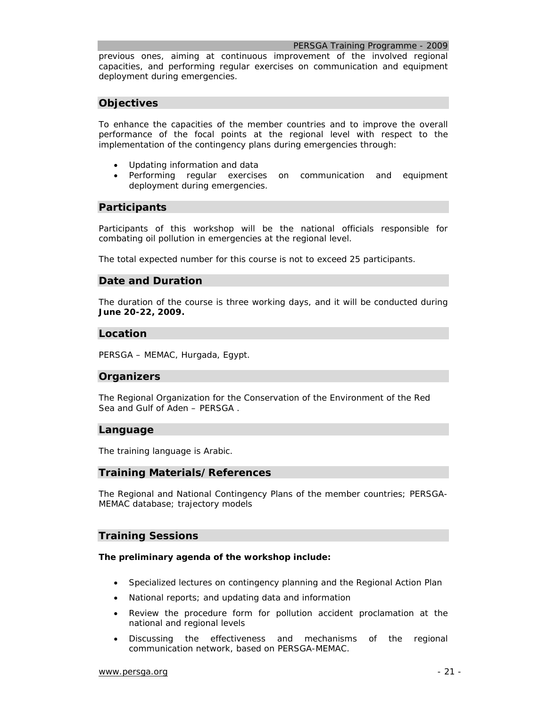#### *PERSGA Training Programme - 2009*

previous ones, aiming at continuous improvement of the involved regional capacities, and performing regular exercises on communication and equipment deployment during emergencies.

### **Objectives**

To enhance the capacities of the member countries and to improve the overall performance of the focal points at the regional level with respect to the implementation of the contingency plans during emergencies through:

- Updating information and data
- Performing regular exercises on communication and equipment deployment during emergencies.

#### **Participants**

Participants of this workshop will be the national officials responsible for combating oil pollution in emergencies at the regional level.

The total expected number for this course is not to exceed 25 participants.

#### **Date and Duration**

The duration of the course is three working days, and it will be conducted during **June 20-22, 2009.**

#### **Location**

PERSGA – MEMAC, Hurgada, Egypt.

#### **Organizers**

The Regional Organization for the Conservation of the Environment of the Red Sea and Gulf of Aden – PERSGA .

#### **Language**

The training language is Arabic.

#### **Training Materials/References**

The Regional and National Contingency Plans of the member countries; PERSGA-MEMAC database; trajectory models

### **Training Sessions**

#### **The preliminary agenda of the workshop include:**

- Specialized lectures on contingency planning and the Regional Action Plan
- National reports; and updating data and information
- Review the procedure form for pollution accident proclamation at the national and regional levels
- Discussing the effectiveness and mechanisms of the regional communication network, based on PERSGA-MEMAC.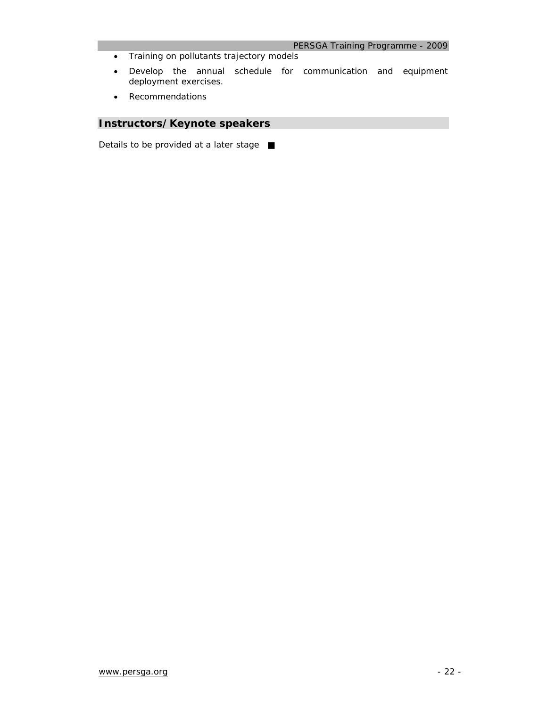- Training on pollutants trajectory models
- Develop the annual schedule for communication and equipment deployment exercises.
- Recommendations

# **Instructors/Keynote speakers**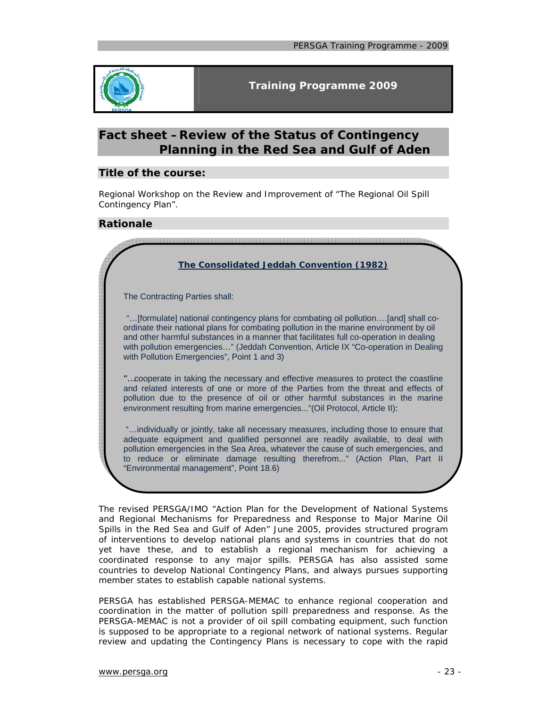

# **Fact sheet –Review of the Status of Contingency Planning in the Red Sea and Gulf of Aden**

## **Title of the course:**

Regional Workshop on the Review and Improvement of "The Regional Oil Spill Contingency Plan".

### **Rationale**

| The Consolidated Jeddah Convention (1982)                                                                                                                                                                                                                                                                                                                                                                    |
|--------------------------------------------------------------------------------------------------------------------------------------------------------------------------------------------------------------------------------------------------------------------------------------------------------------------------------------------------------------------------------------------------------------|
| The Contracting Parties shall:                                                                                                                                                                                                                                                                                                                                                                               |
| "[formulate] national contingency plans for combating oil pollution[and] shall co-<br>ordinate their national plans for combating pollution in the marine environment by oil<br>and other harmful substances in a manner that facilitates full co-operation in dealing<br>with pollution emergencies" (Jeddah Convention, Article IX "Co-operation in Dealing<br>with Pollution Emergencies", Point 1 and 3) |
| "cooperate in taking the necessary and effective measures to protect the coastline<br>and related interests of one or more of the Parties from the threat and effects of<br>pollution due to the presence of oil or other harmful substances in the marine<br>environment resulting from marine emergencies"(Oil Protocol, Article II):                                                                      |
| "individually or jointly, take all necessary measures, including those to ensure that<br>adequate equipment and qualified personnel are readily available, to deal with<br>pollution emergencies in the Sea Area, whatever the cause of such emergencies, and<br>to reduce or eliminate damage resulting therefrom" (Action Plan, Part II<br>"Environmental management", Point 18.6)                         |
|                                                                                                                                                                                                                                                                                                                                                                                                              |

The revised PERSGA/IMO "Action Plan for the Development of National Systems and Regional Mechanisms for Preparedness and Response to Major Marine Oil Spills in the Red Sea and Gulf of Aden" June 2005, provides structured program of interventions to develop national plans and systems in countries that do not yet have these, and to establish a regional mechanism for achieving a coordinated response to any major spills. PERSGA has also assisted some countries to develop National Contingency Plans, and always pursues supporting member states to establish capable national systems.

PERSGA has established PERSGA-MEMAC to enhance regional cooperation and coordination in the matter of pollution spill preparedness and response. As the PERSGA-MEMAC is not a provider of oil spill combating equipment, such function is supposed to be appropriate to a regional network of national systems. Regular review and updating the Contingency Plans is necessary to cope with the rapid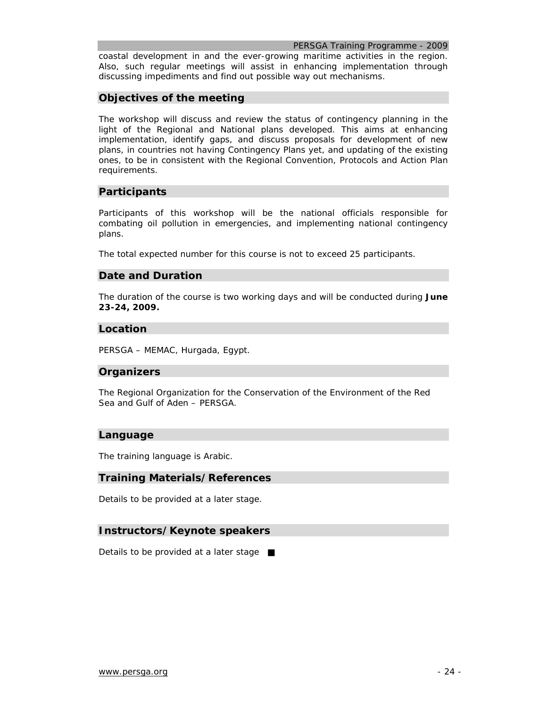coastal development in and the ever-growing maritime activities in the region. Also, such regular meetings will assist in enhancing implementation through discussing impediments and find out possible way out mechanisms.

### **Objectives of the meeting**

The workshop will discuss and review the status of contingency planning in the light of the Regional and National plans developed. This aims at enhancing implementation, identify gaps, and discuss proposals for development of new plans, in countries not having Contingency Plans yet, and updating of the existing ones, to be in consistent with the Regional Convention, Protocols and Action Plan requirements.

### **Participants**

Participants of this workshop will be the national officials responsible for combating oil pollution in emergencies, and implementing national contingency plans.

The total expected number for this course is not to exceed 25 participants.

### **Date and Duration**

The duration of the course is two working days and will be conducted during **June 23-24, 2009.**

### **Location**

PERSGA – MEMAC, Hurgada, Egypt.

### **Organizers**

The Regional Organization for the Conservation of the Environment of the Red Sea and Gulf of Aden – PERSGA.

#### **Language**

The training language is Arabic.

#### **Training Materials/References**

*Details to be provided at a later stage.* 

#### **Instructors/Keynote speakers**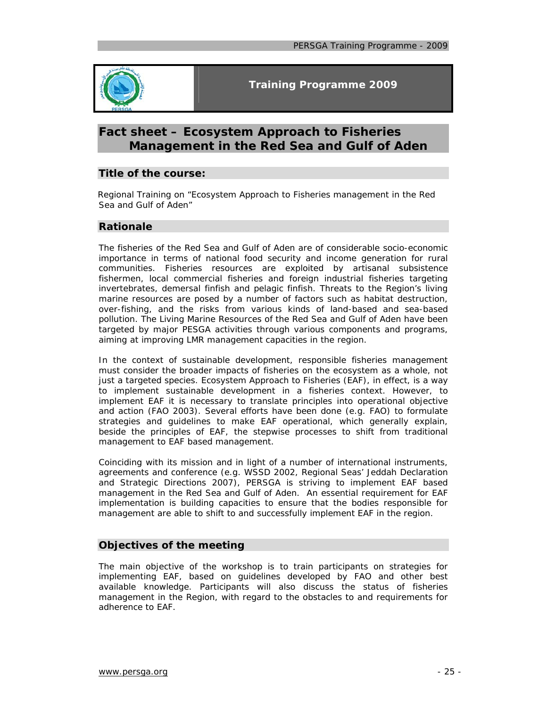

# **Fact sheet – Ecosystem Approach to Fisheries Management in the Red Sea and Gulf of Aden**

# **Title of the course:**

Regional Training on "Ecosystem Approach to Fisheries management in the Red Sea and Gulf of Aden"

# **Rationale**

The fisheries of the Red Sea and Gulf of Aden are of considerable socio-economic importance in terms of national food security and income generation for rural communities. Fisheries resources are exploited by artisanal subsistence fishermen, local commercial fisheries and foreign industrial fisheries targeting invertebrates, demersal finfish and pelagic finfish. Threats to the Region's living marine resources are posed by a number of factors such as habitat destruction, over-fishing, and the risks from various kinds of land-based and sea-based pollution. The Living Marine Resources of the Red Sea and Gulf of Aden have been targeted by major PESGA activities through various components and programs, aiming at improving LMR management capacities in the region.

In the context of sustainable development, responsible fisheries management must consider the broader impacts of fisheries on the ecosystem as a whole, not just a targeted species. Ecosystem Approach to Fisheries (EAF), in effect, is a way to implement sustainable development in a fisheries context. However, to implement EAF it is necessary to translate principles into operational objective and action (FAO 2003). Several efforts have been done (e.g. FAO) to formulate strategies and guidelines to make EAF operational, which generally explain, beside the principles of EAF, the stepwise processes to shift from traditional management to EAF based management.

Coinciding with its mission and in light of a number of international instruments, agreements and conference (e.g. WSSD 2002, Regional Seas' Jeddah Declaration and Strategic Directions 2007), PERSGA is striving to implement EAF based management in the Red Sea and Gulf of Aden. An essential requirement for EAF implementation is building capacities to ensure that the bodies responsible for management are able to shift to and successfully implement EAF in the region.

### **Objectives of the meeting**

The main objective of the workshop is to train participants on strategies for implementing EAF, based on guidelines developed by FAO and other best available knowledge. Participants will also discuss the status of fisheries management in the Region, with regard to the obstacles to and requirements for adherence to EAF.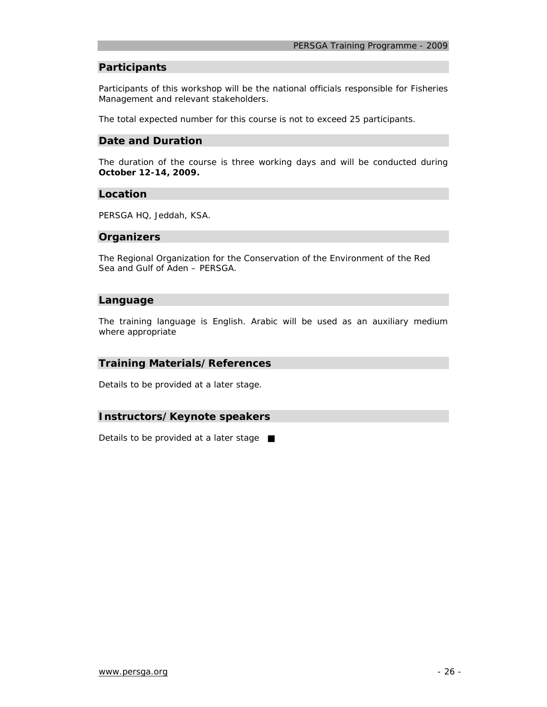#### **Participants**

Participants of this workshop will be the national officials responsible for Fisheries Management and relevant stakeholders.

The total expected number for this course is not to exceed 25 participants.

#### **Date and Duration**

The duration of the course is three working days and will be conducted during **October 12-14, 2009.**

#### **Location**

PERSGA HQ, Jeddah, KSA.

#### **Organizers**

The Regional Organization for the Conservation of the Environment of the Red Sea and Gulf of Aden – PERSGA.

#### **Language**

The training language is English. Arabic will be used as an auxiliary medium where appropriate

#### **Training Materials/References**

*Details to be provided at a later stage.* 

#### **Instructors/Keynote speakers**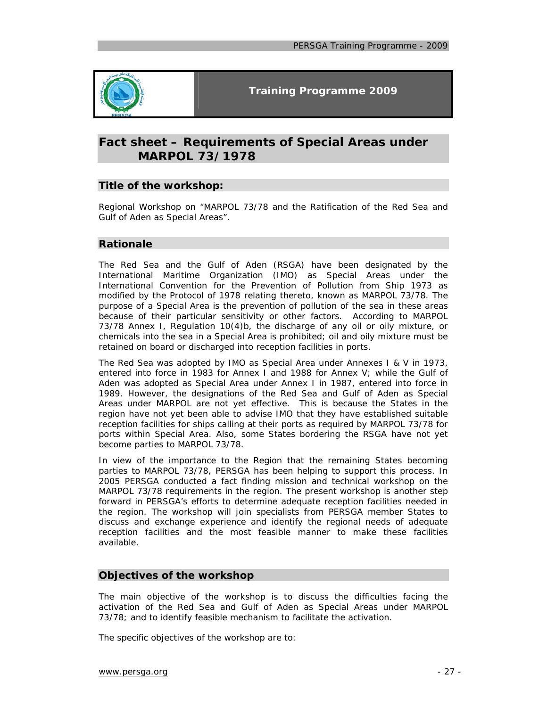

# **Fact sheet – Requirements of Special Areas under MARPOL 73/1978**

### **Title of the workshop:**

Regional Workshop on "MARPOL 73/78 and the Ratification of the Red Sea and Gulf of Aden as Special Areas".

#### **Rationale**

The Red Sea and the Gulf of Aden (RSGA) have been designated by the International Maritime Organization (IMO) as Special Areas under the International Convention for the Prevention of Pollution from Ship 1973 as modified by the Protocol of 1978 relating thereto, known as MARPOL 73/78. The purpose of a Special Area is the prevention of pollution of the sea in these areas because of their particular sensitivity or other factors. According to MARPOL 73/78 Annex I, Regulation 10(4)b, the discharge of any oil or oily mixture, or chemicals into the sea in a Special Area is prohibited; oil and oily mixture must be retained on board or discharged into reception facilities in ports.

The Red Sea was adopted by IMO as Special Area under Annexes I & V in 1973, entered into force in 1983 for Annex I and 1988 for Annex V; while the Gulf of Aden was adopted as Special Area under Annex I in 1987, entered into force in 1989. However, the designations of the Red Sea and Gulf of Aden as Special Areas under MARPOL are not yet effective. This is because the States in the region have not yet been able to advise IMO that they have established suitable reception facilities for ships calling at their ports as required by MARPOL 73/78 for ports within Special Area. Also, some States bordering the RSGA have not yet become parties to MARPOL 73/78.

In view of the importance to the Region that the remaining States becoming parties to MARPOL 73/78, PERSGA has been helping to support this process. In 2005 PERSGA conducted a fact finding mission and technical workshop on the MARPOL 73/78 requirements in the region. The present workshop is another step forward in PERSGA's efforts to determine adequate reception facilities needed in the region. The workshop will join specialists from PERSGA member States to discuss and exchange experience and identify the regional needs of adequate reception facilities and the most feasible manner to make these facilities available.

#### **Objectives of the workshop**

The main objective of the workshop is to discuss the difficulties facing the activation of the Red Sea and Gulf of Aden as Special Areas under MARPOL 73/78; and to identify feasible mechanism to facilitate the activation.

The specific objectives of the workshop are to: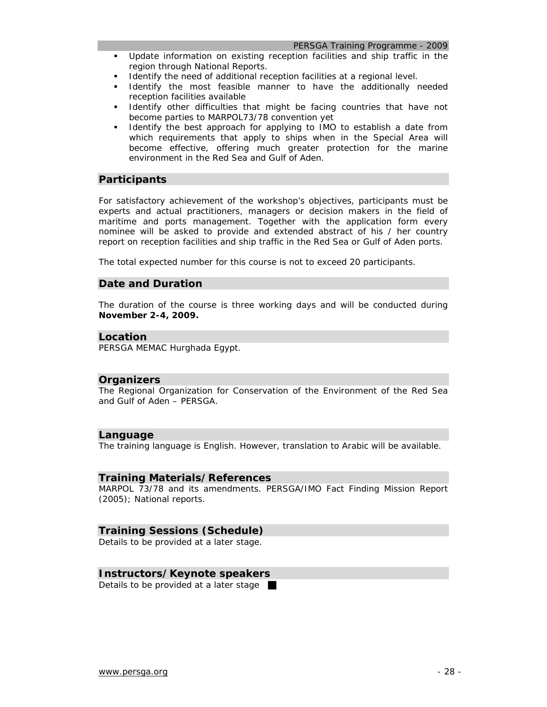#### *PERSGA Training Programme - 2009*

- Update information on existing reception facilities and ship traffic in the region through National Reports.
- Identify the need of additional reception facilities at a regional level.
- Identify the most feasible manner to have the additionally needed reception facilities available
- Identify other difficulties that might be facing countries that have not become parties to MARPOL73/78 convention yet
- Identify the best approach for applying to IMO to establish a date from which requirements that apply to ships when in the Special Area will become effective, offering much greater protection for the marine environment in the Red Sea and Gulf of Aden.

### **Participants**

For satisfactory achievement of the workshop's objectives, participants must be experts and actual practitioners, managers or decision makers in the field of maritime and ports management. Together with the application form every nominee will be asked to provide and extended abstract of his / her country report on reception facilities and ship traffic in the Red Sea or Gulf of Aden ports.

The total expected number for this course is not to exceed 20 participants.

#### **Date and Duration**

The duration of the course is three working days and will be conducted during **November 2-4, 2009.**

#### **Location**

PERSGA MEMAC Hurghada Egypt.

#### **Organizers**

The Regional Organization for Conservation of the Environment of the Red Sea and Gulf of Aden – PERSGA.

#### **Language**

The training language is English. However, translation to Arabic will be available.

#### **Training Materials/References**

MARPOL 73/78 and its amendments. PERSGA/IMO Fact Finding Mission Report (2005); National reports.

#### **Training Sessions (Schedule)**

Details to be provided at a later stage.

#### **Instructors/Keynote speakers**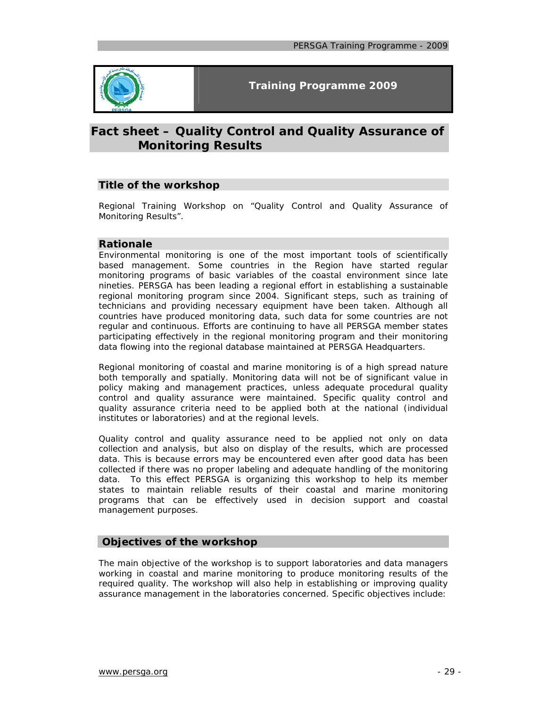

# **Fact sheet – Quality Control and Quality Assurance of Monitoring Results**

### **Title of the workshop**

Regional Training Workshop on "Quality Control and Quality Assurance of Monitoring Results".

### **Rationale**

Environmental monitoring is one of the most important tools of scientifically based management. Some countries in the Region have started regular monitoring programs of basic variables of the coastal environment since late nineties. PERSGA has been leading a regional effort in establishing a sustainable regional monitoring program since 2004. Significant steps, such as training of technicians and providing necessary equipment have been taken. Although all countries have produced monitoring data, such data for some countries are not regular and continuous. Efforts are continuing to have all PERSGA member states participating effectively in the regional monitoring program and their monitoring data flowing into the regional database maintained at PERSGA Headquarters.

Regional monitoring of coastal and marine monitoring is of a high spread nature both temporally and spatially. Monitoring data will not be of significant value in policy making and management practices, unless adequate procedural quality control and quality assurance were maintained. Specific quality control and quality assurance criteria need to be applied both at the national (individual institutes or laboratories) and at the regional levels.

Quality control and quality assurance need to be applied not only on data collection and analysis, but also on display of the results, which are processed data. This is because errors may be encountered even after good data has been collected if there was no proper labeling and adequate handling of the monitoring data. To this effect PERSGA is organizing this workshop to help its member states to maintain reliable results of their coastal and marine monitoring programs that can be effectively used in decision support and coastal management purposes.

# **Objectives of the workshop**

The main objective of the workshop is to support laboratories and data managers working in coastal and marine monitoring to produce monitoring results of the required quality. The workshop will also help in establishing or improving quality assurance management in the laboratories concerned. Specific objectives include: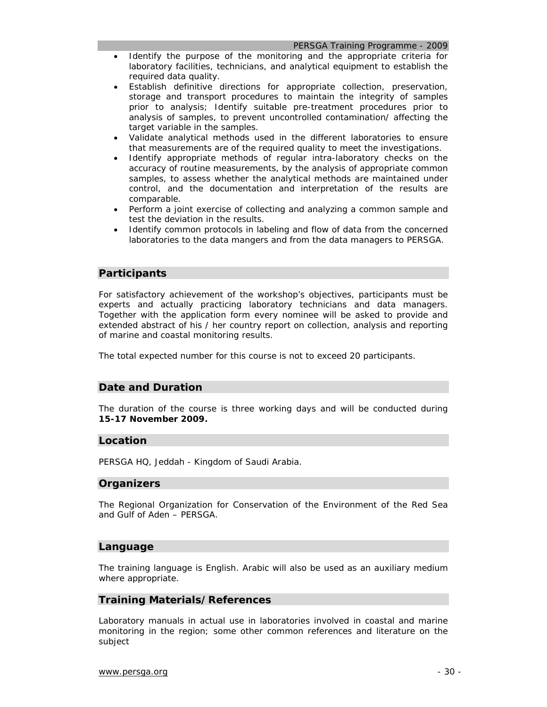#### *PERSGA Training Programme - 2009*

- Identify the purpose of the monitoring and the appropriate criteria for laboratory facilities, technicians, and analytical equipment to establish the required data quality.
- Establish definitive directions for appropriate collection, preservation, storage and transport procedures to maintain the integrity of samples prior to analysis; Identify suitable pre-treatment procedures prior to analysis of samples, to prevent uncontrolled contamination/ affecting the target variable in the samples.
- Validate analytical methods used in the different laboratories to ensure that measurements are of the required quality to meet the investigations.
- Identify appropriate methods of regular intra-laboratory checks on the accuracy of routine measurements, by the analysis of appropriate common samples, to assess whether the analytical methods are maintained under control, and the documentation and interpretation of the results are comparable.
- Perform a joint exercise of collecting and analyzing a common sample and test the deviation in the results.
- Identify common protocols in labeling and flow of data from the concerned laboratories to the data mangers and from the data managers to PERSGA.

#### **Participants**

For satisfactory achievement of the workshop's objectives, participants must be experts and actually practicing laboratory technicians and data managers. Together with the application form every nominee will be asked to provide and extended abstract of his / her country report on collection, analysis and reporting of marine and coastal monitoring results.

The total expected number for this course is not to exceed 20 participants.

#### **Date and Duration**

The duration of the course is three working days and will be conducted during **15-17 November 2009.**

#### **Location**

PERSGA HQ, Jeddah - Kingdom of Saudi Arabia.

#### **Organizers**

The Regional Organization for Conservation of the Environment of the Red Sea and Gulf of Aden – PERSGA.

#### **Language**

The training language is English. Arabic will also be used as an auxiliary medium where appropriate.

#### **Training Materials/References**

Laboratory manuals in actual use in laboratories involved in coastal and marine monitoring in the region; some other common references and literature on the subject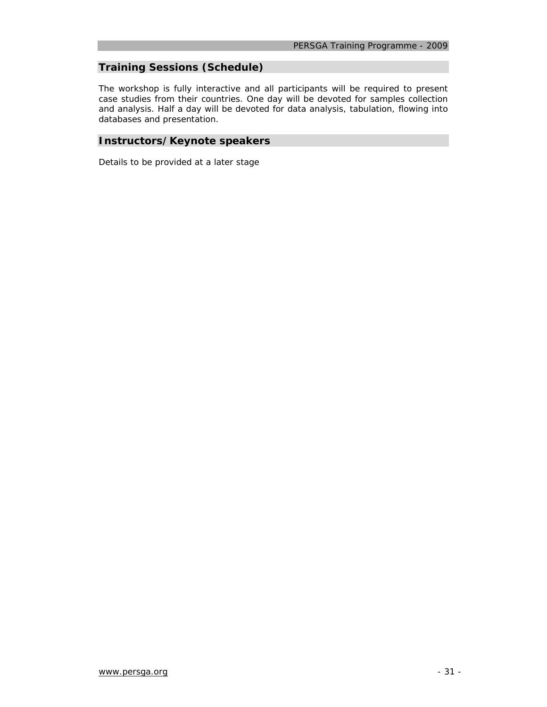# **Training Sessions (Schedule)**

The workshop is fully interactive and all participants will be required to present case studies from their countries. One day will be devoted for samples collection and analysis. Half a day will be devoted for data analysis, tabulation, flowing into databases and presentation.

# **Instructors/Keynote speakers**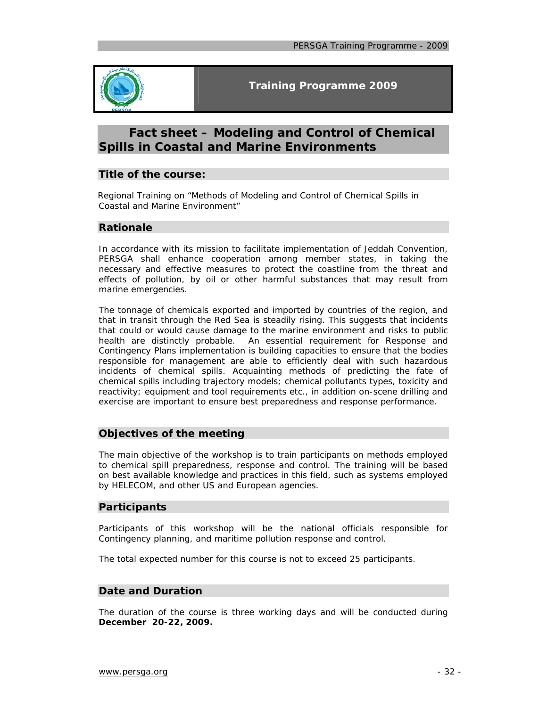

# **Fact sheet – Modeling and Control of Chemical Spills in Coastal and Marine Environments**

### **Title of the course:**

Regional Training on "Methods of Modeling and Control of Chemical Spills in Coastal and Marine Environment"

### **Rationale**

In accordance with its mission to facilitate implementation of Jeddah Convention, PERSGA shall enhance cooperation among member states, in taking the necessary and effective measures to protect the coastline from the threat and effects of pollution, by oil or other harmful substances that may result from marine emergencies.

The tonnage of chemicals exported and imported by countries of the region, and that in transit through the Red Sea is steadily rising. This suggests that incidents that could or would cause damage to the marine environment and risks to public health are distinctly probable. An essential requirement for Response and Contingency Plans implementation is building capacities to ensure that the bodies responsible for management are able to efficiently deal with such hazardous incidents of chemical spills. Acquainting methods of predicting the fate of chemical spills including trajectory models; chemical pollutants types, toxicity and reactivity; equipment and tool requirements etc., in addition on-scene drilling and exercise are important to ensure best preparedness and response performance.

### **Objectives of the meeting**

The main objective of the workshop is to train participants on methods employed to chemical spill preparedness, response and control. The training will be based on best available knowledge and practices in this field, such as systems employed by HELECOM, and other US and European agencies.

### **Participants**

Participants of this workshop will be the national officials responsible for Contingency planning, and maritime pollution response and control.

The total expected number for this course is not to exceed 25 participants.

# **Date and Duration**

The duration of the course is three working days and will be conducted during **December 20-22, 2009.**